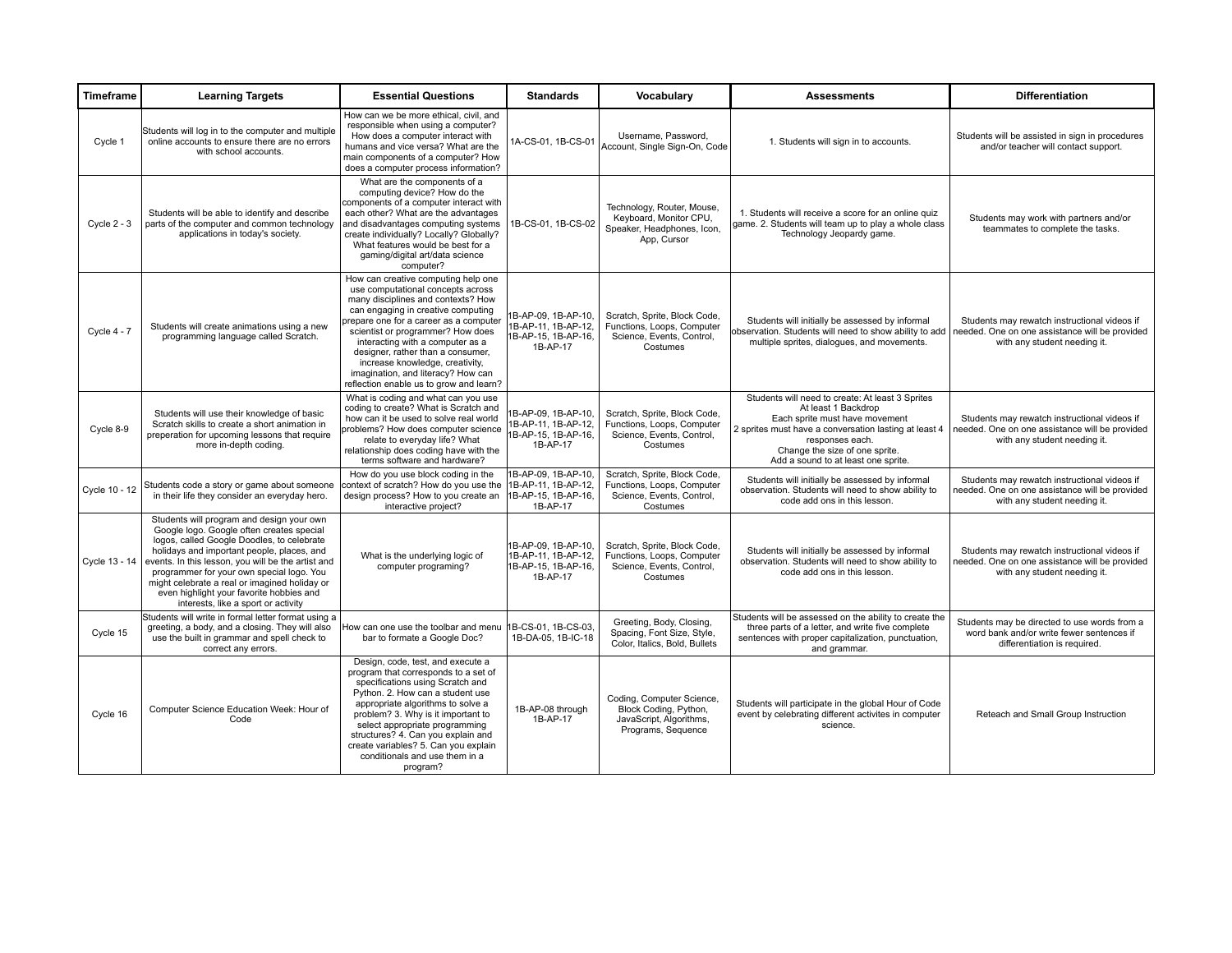| <b>Timeframe</b> | <b>Learning Targets</b>                                                                                                                                                                                                                                                                                                                                                                                                   | <b>Essential Questions</b>                                                                                                                                                                                                                                                                                                                                                                                                       | <b>Standards</b>                                                              | Vocabulary                                                                                          | <b>Assessments</b>                                                                                                                                                                                                                                             | <b>Differentiation</b>                                                                                                         |
|------------------|---------------------------------------------------------------------------------------------------------------------------------------------------------------------------------------------------------------------------------------------------------------------------------------------------------------------------------------------------------------------------------------------------------------------------|----------------------------------------------------------------------------------------------------------------------------------------------------------------------------------------------------------------------------------------------------------------------------------------------------------------------------------------------------------------------------------------------------------------------------------|-------------------------------------------------------------------------------|-----------------------------------------------------------------------------------------------------|----------------------------------------------------------------------------------------------------------------------------------------------------------------------------------------------------------------------------------------------------------------|--------------------------------------------------------------------------------------------------------------------------------|
| Cycle 1          | Students will log in to the computer and multiple<br>online accounts to ensure there are no errors<br>with school accounts.                                                                                                                                                                                                                                                                                               | How can we be more ethical, civil, and<br>responsible when using a computer?<br>How does a computer interact with<br>humans and vice versa? What are the<br>main components of a computer? How<br>does a computer process information?                                                                                                                                                                                           | 1A-CS-01, 1B-CS-01                                                            | Username, Password,<br>Account, Single Sign-On, Code                                                | 1. Students will sign in to accounts.                                                                                                                                                                                                                          | Students will be assisted in sign in procedures<br>and/or teacher will contact support.                                        |
| Cycle $2 - 3$    | Students will be able to identify and describe<br>parts of the computer and common technology<br>applications in today's society.                                                                                                                                                                                                                                                                                         | What are the components of a<br>computing device? How do the<br>components of a computer interact with<br>each other? What are the advantages<br>and disadvantages computing systems<br>create individually? Locally? Globally?<br>What features would be best for a<br>gaming/digital art/data science<br>computer?                                                                                                             | 1B-CS-01, 1B-CS-02                                                            | Technology, Router, Mouse,<br>Keyboard, Monitor CPU,<br>Speaker, Headphones, Icon,<br>App, Cursor   | 1. Students will receive a score for an online quiz<br>game. 2. Students will team up to play a whole class<br>Technology Jeopardy game.                                                                                                                       | Students may work with partners and/or<br>teammates to complete the tasks.                                                     |
| Cycle 4 - 7      | Students will create animations using a new<br>programming language called Scratch.                                                                                                                                                                                                                                                                                                                                       | How can creative computing help one<br>use computational concepts across<br>many disciplines and contexts? How<br>can engaging in creative computing<br>prepare one for a career as a computer<br>scientist or programmer? How does<br>interacting with a computer as a<br>designer, rather than a consumer,<br>increase knowledge, creativity,<br>imagination, and literacy? How can<br>reflection enable us to grow and learn? | 1B-AP-09. 1B-AP-10.<br>IB-AP-11, 1B-AP-12,<br>1B-AP-15, 1B-AP-16,<br>1B-AP-17 | Scratch, Sprite, Block Code,<br>Functions, Loops, Computer<br>Science, Events, Control,<br>Costumes | Students will initially be assessed by informal<br>observation. Students will need to show ability to add<br>multiple sprites, dialogues, and movements.                                                                                                       | Students may rewatch instructional videos if<br>needed. One on one assistance will be provided<br>with any student needing it. |
| Cycle 8-9        | Students will use their knowledge of basic<br>Scratch skills to create a short animation in<br>preperation for upcoming lessons that require<br>more in-depth coding.                                                                                                                                                                                                                                                     | What is coding and what can you use<br>coding to create? What is Scratch and<br>how can it be used to solve real world<br>problems? How does computer science<br>relate to everyday life? What<br>relationship does coding have with the<br>terms software and hardware?                                                                                                                                                         | B-AP-09, 1B-AP-10,<br>IB-AP-11, 1B-AP-12,<br>1B-AP-15, 1B-AP-16,<br>1B-AP-17  | Scratch, Sprite, Block Code,<br>Functions, Loops, Computer<br>Science, Events, Control,<br>Costumes | Students will need to create: At least 3 Sprites<br>At least 1 Backdrop<br>Each sprite must have movement<br>2 sprites must have a conversation lasting at least 4<br>responses each.<br>Change the size of one sprite.<br>Add a sound to at least one sprite. | Students may rewatch instructional videos if<br>needed. One on one assistance will be provided<br>with any student needing it. |
| Cycle 10 - 12    | Students code a story or game about someone<br>in their life they consider an everyday hero.                                                                                                                                                                                                                                                                                                                              | How do you use block coding in the<br>context of scratch? How do you use the 1B-AP-11, 1B-AP-12,<br>design process? How to you create an<br>interactive project?                                                                                                                                                                                                                                                                 | 1B-AP-09, 1B-AP-10,<br>1B-AP-15, 1B-AP-16,<br>1B-AP-17                        | Scratch, Sprite, Block Code,<br>Functions, Loops, Computer<br>Science, Events, Control,<br>Costumes | Students will initially be assessed by informal<br>observation. Students will need to show ability to<br>code add ons in this lesson.                                                                                                                          | Students may rewatch instructional videos if<br>needed. One on one assistance will be provided<br>with any student needing it. |
| Cycle 13 - 14    | Students will program and design your own<br>Google logo. Google often creates special<br>logos, called Google Doodles, to celebrate<br>holidays and important people, places, and<br>events. In this lesson, you will be the artist and<br>programmer for your own special logo. You<br>might celebrate a real or imagined holiday or<br>even highlight your favorite hobbies and<br>interests, like a sport or activity | What is the underlying logic of<br>computer programing?                                                                                                                                                                                                                                                                                                                                                                          | 1B-AP-09, 1B-AP-10.<br>1B-AP-11, 1B-AP-12.<br>1B-AP-15, 1B-AP-16.<br>1B-AP-17 | Scratch, Sprite, Block Code,<br>Functions, Loops, Computer<br>Science, Events, Control,<br>Costumes | Students will initially be assessed by informal<br>observation. Students will need to show ability to<br>code add ons in this lesson.                                                                                                                          | Students may rewatch instructional videos if<br>needed. One on one assistance will be provided<br>with any student needing it. |
| Cycle 15         | Students will write in formal letter format using a<br>greeting, a body, and a closing. They will also<br>use the built in grammar and spell check to<br>correct any errors.                                                                                                                                                                                                                                              | How can one use the toolbar and menu<br>bar to formate a Google Doc?                                                                                                                                                                                                                                                                                                                                                             | IB-CS-01, 1B-CS-03,<br>1B-DA-05, 1B-IC-18                                     | Greeting, Body, Closing,<br>Spacing, Font Size, Style,<br>Color, Italics, Bold, Bullets             | Students will be assessed on the ability to create the<br>three parts of a letter, and write five complete<br>sentences with proper capitalization, punctuation,<br>and grammar.                                                                               | Students may be directed to use words from a<br>word bank and/or write fewer sentences if<br>differentiation is required.      |
| Cycle 16         | Computer Science Education Week: Hour of<br>Code                                                                                                                                                                                                                                                                                                                                                                          | Design, code, test, and execute a<br>program that corresponds to a set of<br>specifications using Scratch and<br>Python. 2. How can a student use<br>appropriate algorithms to solve a<br>problem? 3. Why is it important to<br>select appropriate programming<br>structures? 4. Can you explain and<br>create variables? 5. Can you explain<br>conditionals and use them in a<br>program?                                       | 1B-AP-08 through<br>1B-AP-17                                                  | Coding, Computer Science,<br>Block Coding, Python,<br>JavaScript, Algorithms,<br>Programs, Sequence | Students will participate in the global Hour of Code<br>event by celebrating different activites in computer<br>science.                                                                                                                                       | Reteach and Small Group Instruction                                                                                            |